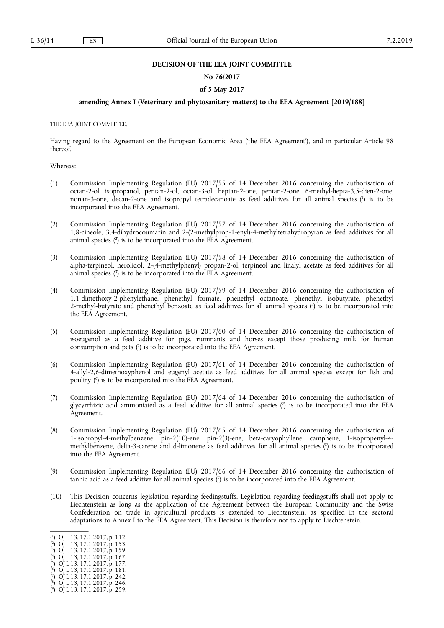## **DECISION OF THE EEA JOINT COMMITTEE**

#### **No 76/2017**

# **of 5 May 2017**

# **amending Annex I (Veterinary and phytosanitary matters) to the EEA Agreement [2019/188]**

THE EEA JOINT COMMITTEE,

Having regard to the Agreement on the European Economic Area ('the EEA Agreement'), and in particular Article 98 thereof,

Whereas:

- (1) Commission Implementing Regulation (EU) 2017/55 of 14 December 2016 concerning the authorisation of octan-2-ol, isopropanol, pentan-2-ol, octan-3-ol, heptan-2-one, pentan-2-one, 6-methyl-hepta-3,5-dien-2-one, nonan-3-one, decan-2-one and isopropyl tetradecanoate as feed additives for all animal species ( 1 ) is to be incorporated into the EEA Agreement.
- (2) Commission Implementing Regulation (EU) 2017/57 of 14 December 2016 concerning the authorisation of 1,8-cineole, 3,4-dihydrocoumarin and 2-(2-methylprop-1-enyl)-4-methyltetrahydropyran as feed additives for all animal species ( 2 ) is to be incorporated into the EEA Agreement.
- (3) Commission Implementing Regulation (EU) 2017/58 of 14 December 2016 concerning the authorisation of alpha-terpineol, nerolidol, 2-(4-methylphenyl) propan-2-ol, terpineol and linalyl acetate as feed additives for all animal species ( 3 ) is to be incorporated into the EEA Agreement.
- (4) Commission Implementing Regulation (EU) 2017/59 of 14 December 2016 concerning the authorisation of 1,1-dimethoxy-2-phenylethane, phenethyl formate, phenethyl octanoate, phenethyl isobutyrate, phenethyl 2-methyl-butyrate and phenethyl benzoate as feed additives for all animal species ( 4 ) is to be incorporated into the EEA Agreement.
- (5) Commission Implementing Regulation (EU) 2017/60 of 14 December 2016 concerning the authorisation of isoeugenol as a feed additive for pigs, ruminants and horses except those producing milk for human consumption and pets ( 5 ) is to be incorporated into the EEA Agreement.
- (6) Commission Implementing Regulation (EU) 2017/61 of 14 December 2016 concerning the authorisation of 4-allyl-2,6-dimethoxyphenol and eugenyl acetate as feed additives for all animal species except for fish and poultry ( 6 ) is to be incorporated into the EEA Agreement.
- (7) Commission Implementing Regulation (EU) 2017/64 of 14 December 2016 concerning the authorisation of glycyrrhizic acid ammoniated as a feed additive for all animal species ( 7 ) is to be incorporated into the EEA Agreement.
- (8) Commission Implementing Regulation (EU) 2017/65 of 14 December 2016 concerning the authorisation of 1-isopropyl-4-methylbenzene, pin-2(10)-ene, pin-2(3)-ene, beta-caryophyllene, camphene, 1-isopropenyl-4 methylbenzene, delta-3-carene and d-limonene as feed additives for all animal species ( 8 ) is to be incorporated into the EEA Agreement.
- (9) Commission Implementing Regulation (EU) 2017/66 of 14 December 2016 concerning the authorisation of tannic acid as a feed additive for all animal species ( 9 ) is to be incorporated into the EEA Agreement.
- (10) This Decision concerns legislation regarding feedingstuffs. Legislation regarding feedingstuffs shall not apply to Liechtenstein as long as the application of the Agreement between the European Community and the Swiss Confederation on trade in agricultural products is extended to Liechtenstein, as specified in the sectoral adaptations to Annex I to the EEA Agreement. This Decision is therefore not to apply to Liechtenstein.

- ( 2 ) OJ L 13, 17.1.2017, p. 153. ( 3 ) OJ L 13, 17.1.2017, p. 159.
- ( 4 ) OJ L 13, 17.1.2017, p. 167.
- ( 5 ) OJ L 13, 17.1.2017, p. 177.
- ( 6 ) OJ L 13, 17.1.2017, p. 181.
- ( 7 ) OJ L 13, 17.1.2017, p. 242.

<sup>(</sup> 1 ) OJ L 13, 17.1.2017, p. 112.

<sup>(</sup> 8 ) OJ L 13, 17.1.2017, p. 246.

<sup>(</sup> 9 ) OJ L 13, 17.1.2017, p. 259.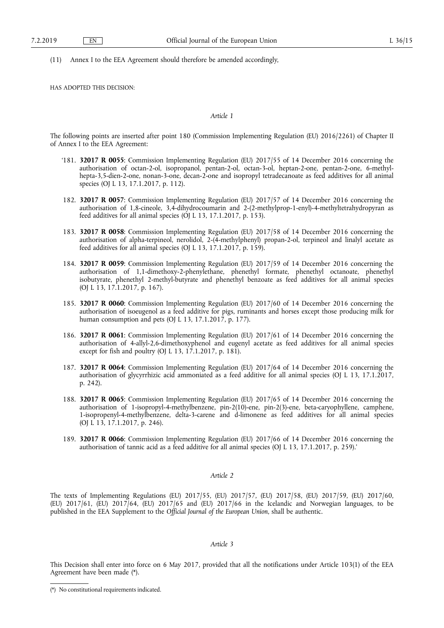(11) Annex I to the EEA Agreement should therefore be amended accordingly,

HAS ADOPTED THIS DECISION:

#### *Article 1*

The following points are inserted after point 180 (Commission Implementing Regulation (EU) 2016/2261) of Chapter II of Annex I to the EEA Agreement:

- '181. **32017 R 0055**: Commission Implementing Regulation (EU) 2017/55 of 14 December 2016 concerning the authorisation of octan-2-ol, isopropanol, pentan-2-ol, octan-3-ol, heptan-2-one, pentan-2-one, 6-methylhepta-3,5-dien-2-one, nonan-3-one, decan-2-one and isopropyl tetradecanoate as feed additives for all animal species (OJ L 13, 17.1.2017, p. 112).
- 182. **32017 R 0057**: Commission Implementing Regulation (EU) 2017/57 of 14 December 2016 concerning the authorisation of 1,8-cineole, 3,4-dihydrocoumarin and 2-(2-methylprop-1-enyl)-4-methyltetrahydropyran as feed additives for all animal species (OJ L 13, 17.1.2017, p. 153).
- 183. **32017 R 0058**: Commission Implementing Regulation (EU) 2017/58 of 14 December 2016 concerning the authorisation of alpha-terpineol, nerolidol, 2-(4-methylphenyl) propan-2-ol, terpineol and linalyl acetate as feed additives for all animal species (OJ L 13, 17.1.2017, p. 159).
- 184. **32017 R 0059**: Commission Implementing Regulation (EU) 2017/59 of 14 December 2016 concerning the authorisation of 1,1-dimethoxy-2-phenylethane, phenethyl formate, phenethyl octanoate, phenethyl isobutyrate, phenethyl 2-methyl-butyrate and phenethyl benzoate as feed additives for all animal species (OJ L 13, 17.1.2017, p. 167).
- 185. **32017 R 0060**: Commission Implementing Regulation (EU) 2017/60 of 14 December 2016 concerning the authorisation of isoeugenol as a feed additive for pigs, ruminants and horses except those producing milk for human consumption and pets (OJ L 13, 17.1.2017, p. 177).
- 186. **32017 R 0061**: Commission Implementing Regulation (EU) 2017/61 of 14 December 2016 concerning the authorisation of 4-allyl-2,6-dimethoxyphenol and eugenyl acetate as feed additives for all animal species except for fish and poultry (OJ L 13, 17.1.2017, p. 181).
- 187. **32017 R 0064**: Commission Implementing Regulation (EU) 2017/64 of 14 December 2016 concerning the authorisation of glycyrrhizic acid ammoniated as a feed additive for all animal species (OJ L 13, 17.1.2017, p. 242).
- 188. **32017 R 0065**: Commission Implementing Regulation (EU) 2017/65 of 14 December 2016 concerning the authorisation of 1-isopropyl-4-methylbenzene, pin-2(10)-ene, pin-2(3)-ene, beta-caryophyllene, camphene, 1-isopropenyl-4-methylbenzene, delta-3-carene and d-limonene as feed additives for all animal species (OJ L 13, 17.1.2017, p. 246).
- 189. **32017 R 0066**: Commission Implementing Regulation (EU) 2017/66 of 14 December 2016 concerning the authorisation of tannic acid as a feed additive for all animal species (OJ L 13, 17.1.2017, p. 259).'

## *Article 2*

The texts of Implementing Regulations (EU) 2017/55, (EU) 2017/57, (EU) 2017/58, (EU) 2017/59, (EU) 2017/60, (EU) 2017/61, (EU) 2017/64, (EU) 2017/65 and (EU) 2017/66 in the Icelandic and Norwegian languages, to be published in the EEA Supplement to the *Official Journal of the European Union*, shall be authentic.

#### *Article 3*

This Decision shall enter into force on 6 May 2017, provided that all the notifications under Article 103(1) of the EEA Agreement have been made (\*).

<sup>(\*)</sup> No constitutional requirements indicated.